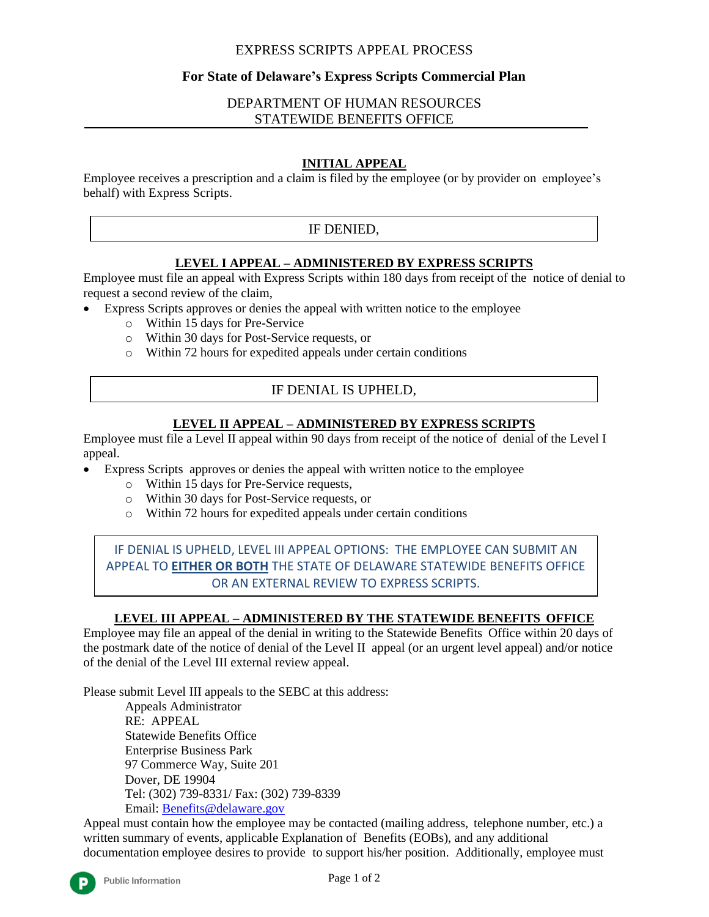# EXPRESS SCRIPTS APPEAL PROCESS

# **For State of Delaware's Express Scripts Commercial Plan**

# DEPARTMENT OF HUMAN RESOURCES STATEWIDE BENEFITS OFFICE

### **INITIAL APPEAL**

Employee receives a prescription and a claim is filed by the employee (or by provider on employee's behalf) with Express Scripts.

# IF DENIED,

#### **LEVEL I APPEAL – ADMINISTERED BY EXPRESS SCRIPTS**

Employee must file an appeal with Express Scripts within 180 days from receipt of the notice of denial to request a second review of the claim,

- Express Scripts approves or denies the appeal with written notice to the employee
	- o Within 15 days for Pre-Service
	- o Within 30 days for Post-Service requests, or
	- o Within 72 hours for expedited appeals under certain conditions

# IF DENIAL IS UPHELD,

#### **LEVEL II APPEAL – ADMINISTERED BY EXPRESS SCRIPTS**

Employee must file a Level II appeal within 90 days from receipt of the notice of denial of the Level I appeal.

- Express Scripts approves or denies the appeal with written notice to the employee
	- o Within 15 days for Pre-Service requests,
	- o Within 30 days for Post-Service requests, or
	- o Within 72 hours for expedited appeals under certain conditions

IF DENIAL IS UPHELD, LEVEL III APPEAL OPTIONS: THE EMPLOYEE CAN SUBMIT AN APPEAL TO **EITHER OR BOTH** THE STATE OF DELAWARE STATEWIDE BENEFITS OFFICE OR AN EXTERNAL REVIEW TO EXPRESS SCRIPTS.

#### **LEVEL III APPEAL – ADMINISTERED BY THE STATEWIDE BENEFITS OFFICE**

Employee may file an appeal of the denial in writing to the Statewide Benefits Office within 20 days of the postmark date of the notice of denial of the Level II appeal (or an urgent level appeal) and/or notice of the denial of the Level III external review appeal.

Please submit Level III appeals to the SEBC at this address:

Appeals Administrator RE: APPEAL Statewide Benefits Office Enterprise Business Park 97 Commerce Way, Suite 201 Dover, DE 19904 Tel: (302) 739-8331/ Fax: (302) 739-8339 Email: [Benefits@delaware.gov](mailto:Benefits@delaware.gov)

Appeal must contain how the employee may be contacted (mailing address, telephone number, etc.) a written summary of events, applicable Explanation of Benefits (EOBs), and any additional documentation employee desires to provide to support his/her position. Additionally, employee must